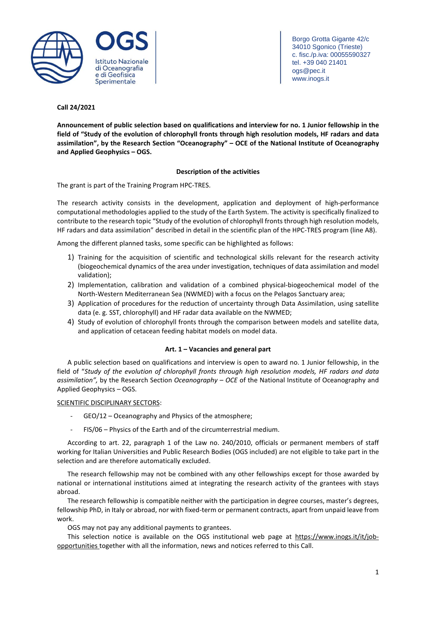

Borgo Grotta Gigante 42/c 34010 Sgonico (Trieste) c. fisc./p.iva: 00055590327 tel. +39 040 21401 ogs@pec.it www.inogs.it

# **Call 24/2021**

**Announcement of public selection based on qualifications and interview for no. 1 Junior fellowship in the** field of "Study of the evolution of chlorophyll fronts through high resolution models, HF radars and data **assimilation", by the Research Section "Oceanography" – OCE of the National Institute of Oceanography and Applied Geophysics – OGS.**

# **Description of the activities**

The grant is part of the Training Program HPC-TRES.

The research activity consists in the development, application and deployment of high-performance computational methodologies applied to the study of the Earth System. The activity is specifically finalized to contribute to the research topic "Study of the evolution of chlorophyll fronts through high resolution models, HF radars and data assimilation" described in detail in the scientific plan of the HPC-TRES program (line A8).

Among the different planned tasks, some specific can be highlighted as follows:

- 1) Training for the acquisition of scientific and technological skills relevant for the research activity (biogeochemical dynamics of the area under investigation, techniques of data assimilation and model validation);
- 2) Implementation, calibration and validation of a combined physical-biogeochemical model of the North-Western Mediterranean Sea (NWMED) with a focus on the Pelagos Sanctuary area;
- 3) Application of procedures for the reduction of uncertainty through Data Assimilation, using satellite data (e. g. SST, chlorophyll) and HF radar data available on the NWMED;
- 4) Study of evolution of chlorophyll fronts through the comparison between models and satellite data, and application of cetacean feeding habitat models on model data.

# **Art. 1 – Vacancies and general part**

A public selection based on qualifications and interview is open to award no. 1 Junior fellowship, in the field of "*Study of the evolution of chlorophyll fronts through high resolution models, HF radars and data assimilation",* by the Research Section *Oceanography – OCE* of the National Institute of Oceanography and Applied Geophysics – OGS.

# SCIENTIFIC DISCIPLINARY SECTORS:

- GEO/12 Oceanography and Physics of the atmosphere;
- FIS/06 Physics of the Earth and of the circumterrestrial medium.

According to art. 22, paragraph 1 of the Law no. 240/2010, officials or permanent members of staff working for Italian Universities and Public Research Bodies (OGS included) are not eligible to take part in the selection and are therefore automatically excluded.

The research fellowship may not be combined with any other fellowships except for those awarded by national or international institutions aimed at integrating the research activity of the grantees with stays abroad.

The research fellowship is compatible neither with the participation in degree courses, master's degrees, fellowship PhD, in Italy or abroad, nor with fixed-term or permanent contracts, apart from unpaid leave from work.

OGS may not pay any additional payments to grantees.

This selection notice is available on the OGS institutional web page at [https://www.inogs.it/it/job](https://www.inogs.it/it/job-opportunities)[opportunities](https://www.inogs.it/it/job-opportunities) together with all the information, news and notices referred to this Call.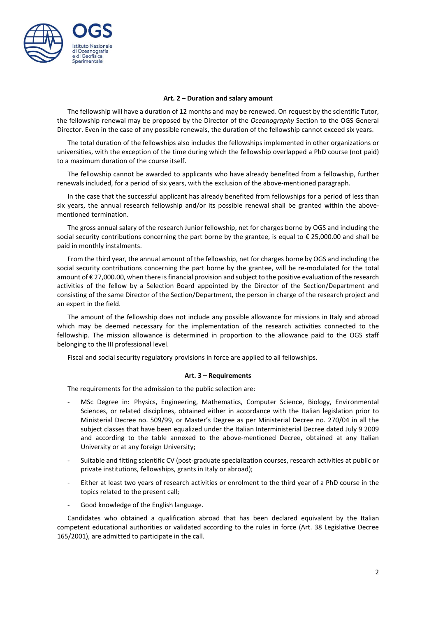

### **Art. 2 – Duration and salary amount**

The fellowship will have a duration of 12 months and may be renewed. On request by the scientific Tutor, the fellowship renewal may be proposed by the Director of the *Oceanography* Section to the OGS General Director. Even in the case of any possible renewals, the duration of the fellowship cannot exceed six years.

The total duration of the fellowships also includes the fellowships implemented in other organizations or universities, with the exception of the time during which the fellowship overlapped a PhD course (not paid) to a maximum duration of the course itself.

The fellowship cannot be awarded to applicants who have already benefited from a fellowship, further renewals included, for a period of six years, with the exclusion of the above-mentioned paragraph.

In the case that the successful applicant has already benefited from fellowships for a period of less than six years, the annual research fellowship and/or its possible renewal shall be granted within the abovementioned termination.

The gross annual salary of the research Junior fellowship, net for charges borne by OGS and including the social security contributions concerning the part borne by the grantee, is equal to € 25,000.00 and shall be paid in monthly instalments.

From the third year, the annual amount of the fellowship, net for charges borne by OGS and including the social security contributions concerning the part borne by the grantee, will be re-modulated for the total amount of € 27,000.00, when there isfinancial provision and subject to the positive evaluation of the research activities of the fellow by a Selection Board appointed by the Director of the Section/Department and consisting of the same Director of the Section/Department, the person in charge of the research project and an expert in the field.

The amount of the fellowship does not include any possible allowance for missions in Italy and abroad which may be deemed necessary for the implementation of the research activities connected to the fellowship. The mission allowance is determined in proportion to the allowance paid to the OGS staff belonging to the III professional level.

Fiscal and social security regulatory provisions in force are applied to all fellowships.

### **Art. 3 – Requirements**

The requirements for the admission to the public selection are:

- MSc Degree in: Physics, Engineering, Mathematics, Computer Science, Biology, Environmental Sciences, or related disciplines, obtained either in accordance with the Italian legislation prior to Ministerial Decree no. 509/99, or Master's Degree as per Ministerial Decree no. 270/04 in all the subject classes that have been equalized under the Italian Interministerial Decree dated July 9 2009 and according to the table annexed to the above-mentioned Decree, obtained at any Italian University or at any foreign University;
- Suitable and fitting scientific CV (post-graduate specialization courses, research activities at public or private institutions, fellowships, grants in Italy or abroad);
- Either at least two years of research activities or enrolment to the third year of a PhD course in the topics related to the present call;
- Good knowledge of the English language.

Candidates who obtained a qualification abroad that has been declared equivalent by the Italian competent educational authorities or validated according to the rules in force (Art. 38 Legislative Decree 165/2001), are admitted to participate in the call.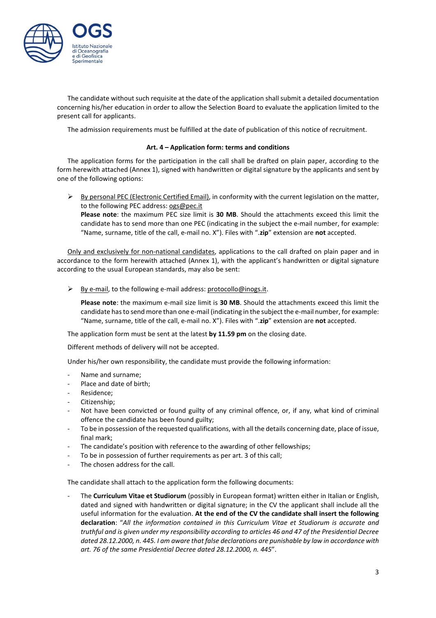

The candidate without such requisite at the date of the application shallsubmit a detailed documentation concerning his/her education in order to allow the Selection Board to evaluate the application limited to the present call for applicants.

The admission requirements must be fulfilled at the date of publication of this notice of recruitment.

### **Art. 4 – Application form: terms and conditions**

The application forms for the participation in the call shall be drafted on plain paper, according to the form herewith attached (Annex 1), signed with handwritten or digital signature by the applicants and sent by one of the following options:

 $\triangleright$  By personal PEC (Electronic Certified Email), in conformity with the current legislation on the matter, to the following PEC address: [ogs@pec.it](mailto:ogs@pec.it)

**Please note**: the maximum PEC size limit is **30 MB**. Should the attachments exceed this limit the candidate has to send more than one PEC (indicating in the subject the e-mail number, for example: "Name, surname, title of the call, e-mail no. X"). Files with ".**zip**" extension are **not** accepted.

Only and exclusively for non-national candidates, applications to the call drafted on plain paper and in accordance to the form herewith attached (Annex 1), with the applicant's handwritten or digital signature according to the usual European standards, may also be sent:

 $\triangleright$  By e-mail, to the following e-mail address: [protocollo@inogs.it.](mailto:protocollo@inogs.it)

**Please note**: the maximum e-mail size limit is **30 MB**. Should the attachments exceed this limit the candidate hasto send more than one e-mail (indicating in the subject the e-mail number, for example: "Name, surname, title of the call, e-mail no. X"). Files with ".**zip**" extension are **not** accepted.

The application form must be sent at the latest **by 11.59 pm** on the closing date.

Different methods of delivery will not be accepted.

Under his/her own responsibility, the candidate must provide the following information:

- Name and surname;
- Place and date of birth;
- Residence;
- Citizenship;
- Not have been convicted or found guilty of any criminal offence, or, if any, what kind of criminal offence the candidate has been found guilty;
- To be in possession of the requested qualifications, with all the details concerning date, place of issue, final mark;
- The candidate's position with reference to the awarding of other fellowships;
- To be in possession of further requirements as per art. 3 of this call;
- The chosen address for the call.

The candidate shall attach to the application form the following documents:

- The **Curriculum Vitae et Studiorum** (possibly in European format) written either in Italian or English, dated and signed with handwritten or digital signature; in the CV the applicant shall include all the useful information for the evaluation. **At the end of the CV the candidate shall insert the following declaration**: "*All the information contained in this Curriculum Vitae et Studiorum is accurate and truthful and is given under my responsibility according to articles 46 and 47 of the Presidential Decree dated 28.12.2000, n. 445. I am aware that false declarations are punishable by law in accordance with art. 76 of the same Presidential Decree dated 28.12.2000, n. 445*".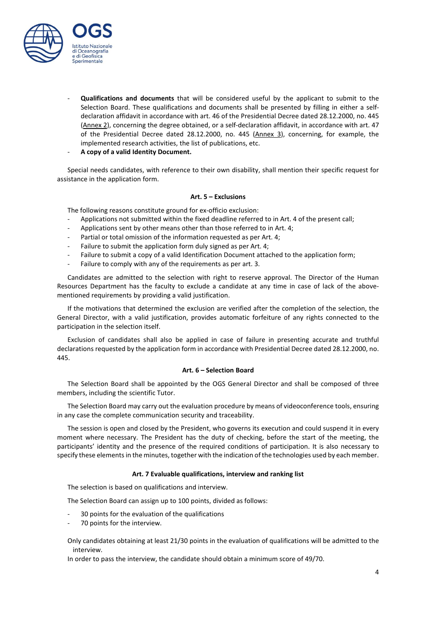

- **Qualifications and documents** that will be considered useful by the applicant to submit to the Selection Board. These qualifications and documents shall be presented by filling in either a selfdeclaration affidavit in accordance with art. 46 of the Presidential Decree dated 28.12.2000, no. 445 (Annex 2), concerning the degree obtained, or a self-declaration affidavit, in accordance with art. 47 of the Presidential Decree dated 28.12.2000, no. 445 (Annex 3), concerning, for example, the implemented research activities, the list of publications, etc.
- **A copy of a valid Identity Document.**

Special needs candidates, with reference to their own disability, shall mention their specific request for assistance in the application form.

# **Art. 5 – Exclusions**

The following reasons constitute ground for ex-officio exclusion:

- Applications not submitted within the fixed deadline referred to in Art. 4 of the present call;
- Applications sent by other means other than those referred to in Art. 4;
- Partial or total omission of the information requested as per Art. 4;
- Failure to submit the application form duly signed as per Art. 4;
- Failure to submit a copy of a valid Identification Document attached to the application form;
- Failure to [comply](http://context.reverso.net/traduzione/inglese-italiano/to+comply+with+any) with any of the [requirements](http://context.reverso.net/traduzione/inglese-italiano/requirements) as per art. 3.

Candidates are admitted to the selection with right to reserve approval. The Director of the Human Resources Department has the faculty to exclude a candidate at any time in case of lack of the abovementioned requirements by providing a valid justification.

If the motivations that determined the exclusion are verified after the completion of the selection, the General Director, with a valid justification, provides automatic forfeiture of any rights connected to the participation in the selection itself.

Exclusion of candidates shall also be applied in case of failure in presenting accurate and truthful declarations requested by the application form in accordance with Presidential Decree dated 28.12.2000, no. 445.

### **Art. 6 – Selection Board**

The Selection Board shall be appointed by the OGS General Director and shall be composed of three members, including the scientific Tutor.

The Selection Board may carry out the evaluation procedure by means of videoconference tools, ensuring in any case the complete communication security and traceability.

The session is open and closed by the President, who governs its execution and could suspend it in every moment where necessary. The President has the duty of checking, before the start of the meeting, the participants' identity and the presence of the required conditions of participation. It is also necessary to specify these elements in the minutes, together with the indication of the technologies used by each member.

### **Art. 7 Evaluable qualifications, interview and ranking list**

The selection is based on qualifications and interview.

The Selection Board can assign up to 100 points, divided as follows:

- 30 points for the evaluation of the qualifications
- 70 points for the interview.

Only candidates obtaining at least 21/30 points in the evaluation of qualifications will be admitted to the interview.

In order to pass the interview, the candidate should obtain a minimum score of 49/70.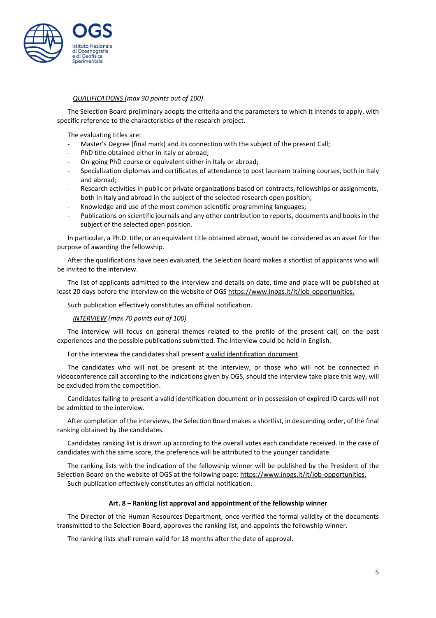

### *QUALIFICATIONS (max 30 points out of 100)*

The Selection Board preliminary adopts the criteria and the parameters to which it intends to apply, with specific reference to the characteristics of the research project.

The evaluating titles are:

- Master's Degree (final mark) and its connection with the subject of the present Call;
- PhD title obtained either in Italy or abroad;
- On-going PhD course or equivalent either in Italy or abroad;
- Specialization diplomas and certificates of attendance to post lauream training courses, both in Italy and abroad;
- Research activities in public or private organizations based on contracts, fellowships or assignments, both in Italy and abroad in the subject of the selected research open position;
- Knowledge and use of the most common scientific programming languages;
- Publications on scientific journals and any other contribution to reports, documents and books in the subject of the selected open position.

In particular, a Ph.D. title, or an equivalent title obtained abroad, would be considered as an asset for the purpose of awarding the fellowship.

After the qualifications have been evaluated, the Selection Board makes a shortlist of applicants who will be invited to the interview.

The list of applicants admitted to the interview and details on date, time and place will be published at least 20 days before the interview on the website of OGS [https://www.inogs.it/it/job-opportunities.](https://www.inogs.it/it/job-opportunities)

Such publication effectively constitutes an official notification.

### *INTERVIEW (max 70 points out of 100)*

The interview will focus on general themes related to the profile of the present call, on the past experiences and the possible publications submitted. The interview could be held in English.

For the interview the candidates shall present a valid identification document.

The candidates who will not be present at the interview, or those who will not be connected in videoconference call according to the indications given by OGS, should the interview take place this way, will be excluded from the competition.

Candidates failing to present a valid identification document or in possession of expired ID cards will not be admitted to the interview.

After completion of the interviews, the Selection Board makes a shortlist, in descending order, of the final ranking obtained by the candidates.

Candidates ranking list is drawn up according to the overall votes each candidate received. In the case of candidates with the same score, the preference will be attributed to the younger candidate.

The ranking lists with the indication of the fellowship winner will be published by the President of the Selection Board on the website of OGS at the following page: [https://www.inogs.it/it/job-opportunities.](https://www.inogs.it/it/job-opportunities) Such publication effectively constitutes an official notification.

### **Art. 8 – Ranking list approval and appointment of the fellowship winner**

The Director of the Human Resources Department, once verified the formal validity of the documents transmitted to the Selection Board, approves the ranking list, and appoints the fellowship winner.

The ranking lists shall remain valid for 18 months after the date of approval.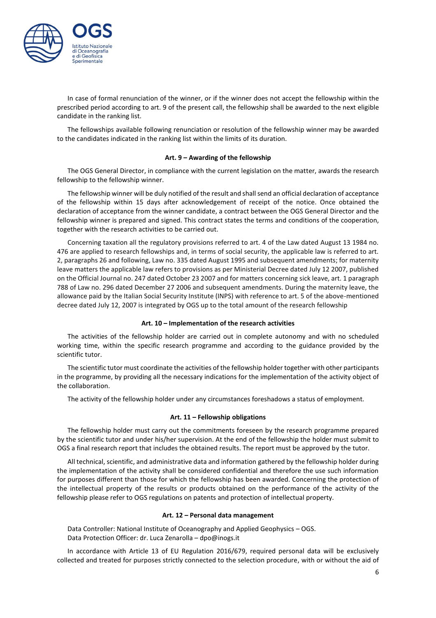

In case of formal renunciation of the winner, or if the winner does not accept the fellowship within the prescribed period according to art. 9 of the present call, the fellowship shall be awarded to the next eligible candidate in the ranking list.

The fellowships available following renunciation or resolution of the fellowship winner may be awarded to the candidates indicated in the ranking list within the limits of its duration.

### **Art. 9 – Awarding of the fellowship**

The OGS General Director, in compliance with the current legislation on the matter, awards the research fellowship to the fellowship winner.

The fellowship winner will be duly notified of the result and shallsend an official declaration of acceptance of the fellowship within 15 days after acknowledgement of receipt of the notice. Once obtained the declaration of acceptance from the winner candidate, a contract between the OGS General Director and the fellowship winner is prepared and signed. This contract states the terms and conditions of the cooperation, together with the research activities to be carried out.

Concerning taxation all the regulatory provisions referred to art. 4 of the Law dated August 13 1984 no. 476 are applied to research fellowships and, in terms of social security, the applicable law is referred to art. 2, paragraphs 26 and following, Law no. 335 dated August 1995 and subsequent amendments; for maternity leave matters the applicable law refers to provisions as per Ministerial Decree dated July 12 2007, published on the Official Journal no. 247 dated October 23 2007 and for matters concerning sick leave, art. 1 paragraph 788 of Law no. 296 dated December 27 2006 and subsequent amendments. During the maternity leave, the allowance paid by the Italian Social Security Institute (INPS) with reference to art. 5 of the above-mentioned decree dated July 12, 2007 is integrated by OGS up to the total amount of the research fellowship

#### **Art. 10 – Implementation of the research activities**

The activities of the fellowship holder are carried out in complete autonomy and with no scheduled working time, within the specific research programme and according to the guidance provided by the scientific tutor.

The scientific tutor must coordinate the activities of the fellowship holder together with other participants in the programme, by providing all the necessary indications for the implementation of the activity object of the collaboration.

The activity of the fellowship holder under any circumstances foreshadows a status of employment.

#### **Art. 11 – Fellowship obligations**

The fellowship holder must carry out the commitments foreseen by the research programme prepared by the scientific tutor and under his/her supervision. At the end of the fellowship the holder must submit to OGS a final research report that includes the obtained results. The report must be approved by the tutor.

All technical, scientific, and administrative data and information gathered by the fellowship holder during the implementation of the activity shall be considered confidential and therefore the use such information for purposes different than those for which the fellowship has been awarded. Concerning the protection of the intellectual property of the results or products obtained on the performance of the activity of the fellowship please refer to OGS regulations on patents and protection of intellectual property.

#### **Art. 12 – Personal data management**

Data Controller: National Institute of Oceanography and Applied Geophysics – OGS. Data Protection Officer: dr. Luca Zenarolla – dpo@inogs.it

In accordance with Article 13 of EU Regulation 2016/679, required personal data will be exclusively collected and treated for purposes strictly connected to the selection procedure, with or without the aid of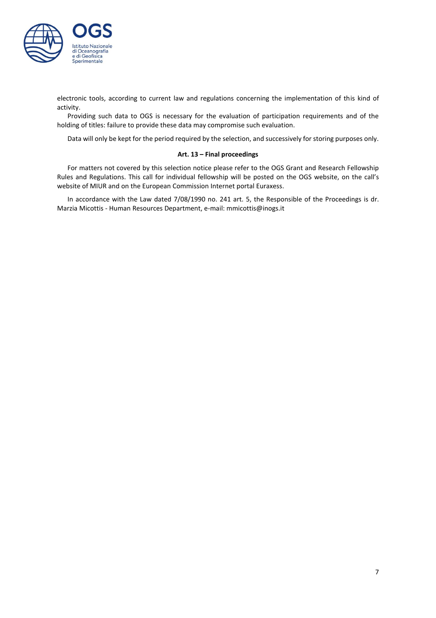

electronic tools, according to current law and regulations concerning the implementation of this kind of activity.

Providing such data to OGS is necessary for the evaluation of participation requirements and of the holding of titles: failure to provide these data may compromise such evaluation.

Data will only be kept for the period required by the selection, and successively for storing purposes only.

### **Art. 13 – Final proceedings**

For matters not covered by this selection notice please refer to the OGS Grant and Research Fellowship Rules and Regulations. This call for individual fellowship will be posted on the OGS website, on the call's website of MIUR and on the European Commission Internet portal Euraxess.

In accordance with the Law dated 7/08/1990 no. 241 art. 5, the Responsible of the Proceedings is dr. Marzia Micottis - Human Resources Department, e-mail: mmicottis@inogs.it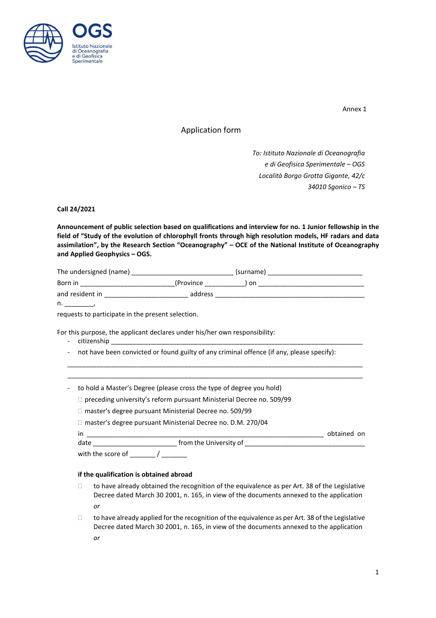

Annex 1

# Application form

*To: Istituto Nazionale di Oceanografia e di Geofisica Sperimentale – OGS Località Borgo Grotta Gigante, 42/c 34010 Sgonico – TS*

# **Call 24/2021**

**Announcement of public selection based on qualifications and interview for no. 1 Junior fellowship in the** field of "Study of the evolution of chlorophyll fronts through high resolution models, HF radars and data **assimilation", by the Research Section "Oceanography" – OCE of the National Institute of Oceanography and Applied Geophysics – OGS.**

| The undersigned (name) |            | (surname) |  |
|------------------------|------------|-----------|--|
| Born in                | (Province) | .on       |  |
| and resident in        | address    |           |  |
| n.                     |            |           |  |

requests to participate in the present selection.

For this purpose, the applicant declares under his/her own responsibility:

- citizenship
- not have been convicted or found guilty of any criminal offence (if any, please specify):

\_\_\_\_\_\_\_\_\_\_\_\_\_\_\_\_\_\_\_\_\_\_\_\_\_\_\_\_\_\_\_\_\_\_\_\_\_\_\_\_\_\_\_\_\_\_\_\_\_\_\_\_\_\_\_\_\_\_\_\_\_\_\_\_\_\_\_\_\_\_\_\_\_\_\_\_\_\_\_\_\_ \_\_\_\_\_\_\_\_\_\_\_\_\_\_\_\_\_\_\_\_\_\_\_\_\_\_\_\_\_\_\_\_\_\_\_\_\_\_\_\_\_\_\_\_\_\_\_\_\_\_\_\_\_\_\_\_\_\_\_\_\_\_\_\_\_\_\_\_\_\_\_\_\_\_\_\_\_\_\_\_\_

- to hold a Master's Degree (please cross the type of degree you hold)
	- $\Box$  preceding university's reform pursuant Ministerial Decree no. 509/99
	- □ master's degree pursuant Ministerial Decree no. 509/99
	- □ master's degree pursuant Ministerial Decree no. D.M. 270/04

in \_\_\_\_\_\_\_\_\_\_\_\_\_\_\_\_\_\_\_\_\_\_\_\_\_\_\_\_\_\_\_\_\_\_\_\_\_\_\_\_\_\_\_\_\_\_\_\_\_\_\_\_\_\_\_\_\_\_\_\_\_\_\_\_\_ obtained on

date \_\_\_\_\_\_\_\_\_\_\_\_\_\_\_\_\_\_\_\_\_\_\_ from the University of \_\_\_\_\_\_\_\_\_\_\_\_\_\_\_\_\_\_\_\_\_\_\_\_\_\_\_\_\_\_\_\_\_

with the score of  $\qquad$  /

### **if the qualification is obtained abroad**

- $\Box$  to have already obtained the recognition of the equivalence as per Art. 38 of the Legislative Decree dated March 30 2001, n. 165, in view of the documents annexed to the application *or*
- $\Box$  to have already applied for the recognition of the equivalence as per Art. 38 of the Legislative Decree dated March 30 2001, n. 165, in view of the documents annexed to the application *or*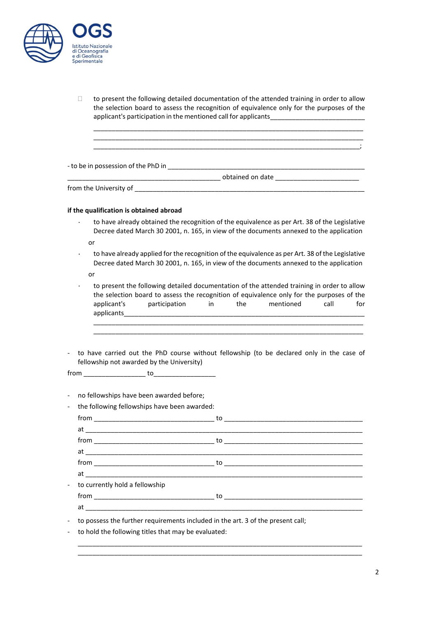

 $\Box$  to present the following detailed documentation of the attended training in order to allow the selection board to assess the recognition of equivalence only for the purposes of the applicant's participation in the mentioned call for applicants\_\_\_\_\_\_\_\_\_\_\_\_\_\_\_\_\_\_

\_\_\_\_\_\_\_\_\_\_\_\_\_\_\_\_\_\_\_\_\_\_\_\_\_\_\_\_\_\_\_\_\_\_\_\_\_\_\_\_\_\_\_\_\_\_\_\_\_\_\_\_\_\_\_\_\_\_\_\_\_\_\_\_\_\_\_\_\_\_\_\_\_\_ \_\_\_\_\_\_\_\_\_\_\_\_\_\_\_\_\_\_\_\_\_\_\_\_\_\_\_\_\_\_\_\_\_\_\_\_\_\_\_\_\_\_\_\_\_\_\_\_\_\_\_\_\_\_\_\_\_\_\_\_\_\_\_\_\_\_\_\_\_\_\_\_\_\_ \_\_\_\_\_\_\_\_\_\_\_\_\_\_\_\_\_\_\_\_\_\_\_\_\_\_\_\_\_\_\_\_\_\_\_\_\_\_\_\_\_\_\_\_\_\_\_\_\_\_\_\_\_\_\_\_\_\_\_\_\_\_\_\_\_\_\_\_\_\_\_\_\_;

- to be in possession of the PhD in \_\_\_\_\_\_\_\_\_\_\_\_\_\_\_\_\_\_\_\_\_\_\_\_\_\_\_\_\_\_\_\_\_\_\_\_\_\_\_\_\_\_\_\_\_\_\_\_\_\_\_\_\_\_

\_\_\_\_\_\_\_\_\_\_\_\_\_\_\_\_\_\_\_\_\_\_\_\_\_\_\_\_\_\_\_\_\_\_\_\_\_\_\_\_\_\_ obtained on date \_\_\_\_\_\_\_\_\_\_\_\_\_\_\_\_\_\_\_\_\_\_\_

from the University of \_\_\_\_\_\_\_\_\_\_\_\_\_\_\_\_\_\_\_\_\_\_\_\_\_\_\_\_\_\_\_\_\_\_\_\_\_\_\_\_\_\_\_\_\_\_\_\_\_\_\_\_\_\_\_\_\_\_\_\_\_\_\_

### **if the qualification is obtained abroad**

to have already obtained the recognition of the equivalence as per Art. 38 of the Legislative Decree dated March 30 2001, n. 165, in view of the documents annexed to the application

or

to have already applied for the recognition of the equivalence as per Art. 38 of the Legislative Decree dated March 30 2001, n. 165, in view of the documents annexed to the application

or

to present the following detailed documentation of the attended training in order to allow  $\ddot{\phantom{0}}$ the selection board to assess the recognition of equivalence only for the purposes of the applicant's participation in the mentioned call for applicants\_\_\_\_\_\_\_\_\_\_\_\_\_\_\_\_\_\_\_\_\_\_\_\_\_\_\_\_\_\_\_\_\_\_\_\_\_\_\_\_\_\_\_\_\_\_\_\_\_\_\_\_\_\_\_\_\_\_\_\_\_\_\_\_\_\_ \_\_\_\_\_\_\_\_\_\_\_\_\_\_\_\_\_\_\_\_\_\_\_\_\_\_\_\_\_\_\_\_\_\_\_\_\_\_\_\_\_\_\_\_\_\_\_\_\_\_\_\_\_\_\_\_\_\_\_\_\_\_\_\_\_\_\_\_\_\_\_\_\_\_

\_\_\_\_\_\_\_\_\_\_\_\_\_\_\_\_\_\_\_\_\_\_\_\_\_\_\_\_\_\_\_\_\_\_\_\_\_\_\_\_\_\_\_\_\_\_\_\_\_\_\_\_\_\_\_\_\_\_\_\_\_\_\_\_\_\_\_\_\_\_\_\_\_\_

- to have carried out the PhD course without fellowship (to be declared only in the case of fellowship not awarded by the University)

 $from$   $\_\_$  to $\_\_$ 

- no fellowships have been awarded before;

| - the following fellowships have been awarded: |                                                                                   |                |  |
|------------------------------------------------|-----------------------------------------------------------------------------------|----------------|--|
|                                                |                                                                                   |                |  |
|                                                |                                                                                   |                |  |
|                                                |                                                                                   | $from _______$ |  |
|                                                |                                                                                   |                |  |
|                                                |                                                                                   |                |  |
|                                                |                                                                                   |                |  |
|                                                | to currently hold a fellowship                                                    |                |  |
|                                                |                                                                                   |                |  |
|                                                |                                                                                   |                |  |
|                                                | - to possess the further requirements included in the art. 3 of the present call; |                |  |
|                                                | - to hold the following titles that may be evaluated:                             |                |  |

\_\_\_\_\_\_\_\_\_\_\_\_\_\_\_\_\_\_\_\_\_\_\_\_\_\_\_\_\_\_\_\_\_\_\_\_\_\_\_\_\_\_\_\_\_\_\_\_\_\_\_\_\_\_\_\_\_\_\_\_\_\_\_\_\_\_\_\_\_\_\_\_\_\_\_\_\_\_ \_\_\_\_\_\_\_\_\_\_\_\_\_\_\_\_\_\_\_\_\_\_\_\_\_\_\_\_\_\_\_\_\_\_\_\_\_\_\_\_\_\_\_\_\_\_\_\_\_\_\_\_\_\_\_\_\_\_\_\_\_\_\_\_\_\_\_\_\_\_\_\_\_\_\_\_\_\_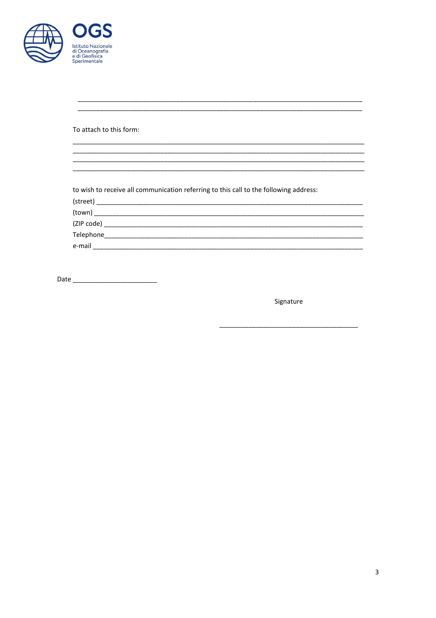| <b>OGS</b><br><b>Istituto Nazionale</b><br>di Oceanografia<br>e di Geofisica<br>Sperimentale |
|----------------------------------------------------------------------------------------------|
| To attach to this form:                                                                      |

to wish to receive all communication referring to this call to the following address:

Signature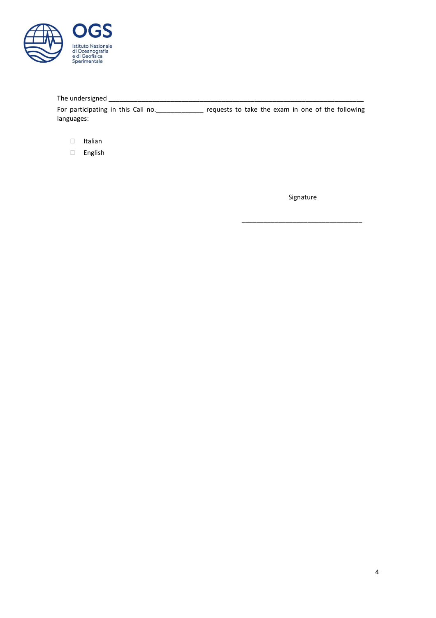

# The undersigned \_\_\_\_\_\_\_\_\_\_\_\_\_\_\_\_\_\_\_\_\_\_\_\_\_\_\_\_\_\_\_\_\_\_\_\_\_\_\_\_\_\_\_\_\_\_\_\_\_\_\_\_\_\_\_\_\_\_\_\_\_\_\_\_\_\_\_\_\_\_

For participating in this Call no. \_\_\_\_\_\_\_\_\_\_\_\_\_\_ requests to take the exam in one of the following languages:

- Italian
- English

Signature

\_\_\_\_\_\_\_\_\_\_\_\_\_\_\_\_\_\_\_\_\_\_\_\_\_\_\_\_\_\_\_\_\_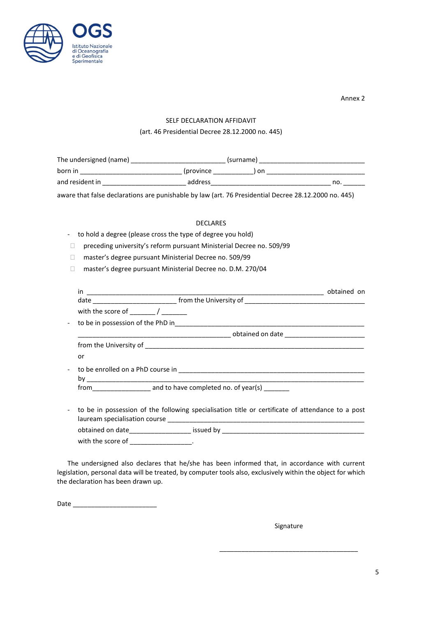

Annex 2

# SELF DECLARATION AFFIDAVIT

# (art. 46 Presidential Decree 28.12.2000 no. 445)

| The undersigned (name) |                   | (surname) |     |  |
|------------------------|-------------------|-----------|-----|--|
| born in                | <i>(province)</i> | ) on      |     |  |
| and resident in        | address           |           | no. |  |

aware that false declarations are punishable by law (art. 76 Presidential Decree 28.12.2000 no. 445)

# DECLARES

# - to hold a degree (please cross the type of degree you hold)

- preceding university's reform pursuant Ministerial Decree no. 509/99
- □ master's degree pursuant Ministerial Decree no. 509/99
- □ master's degree pursuant Ministerial Decree no. D.M. 270/04

| detailed on date with the same of the state of the state of the state of the state of the state of the state of the state of the state of the state of the state of the state of the state of the state of the state of the st |
|--------------------------------------------------------------------------------------------------------------------------------------------------------------------------------------------------------------------------------|
|                                                                                                                                                                                                                                |
| or                                                                                                                                                                                                                             |
|                                                                                                                                                                                                                                |
|                                                                                                                                                                                                                                |
| to be in possession of the following specialisation title or certificate of attendance to a post                                                                                                                               |
| obtained on date____________________ issued by __________________________________                                                                                                                                              |
| with the score of _____________________.                                                                                                                                                                                       |

The undersigned also declares that he/she has been informed that, in accordance with current legislation, personal data will be treated, by computer tools also, exclusively within the object for which the declaration has been drawn up.

Date \_\_\_\_\_\_\_\_\_\_\_\_\_\_\_\_\_\_\_\_\_\_\_

Signature

\_\_\_\_\_\_\_\_\_\_\_\_\_\_\_\_\_\_\_\_\_\_\_\_\_\_\_\_\_\_\_\_\_\_\_\_\_\_